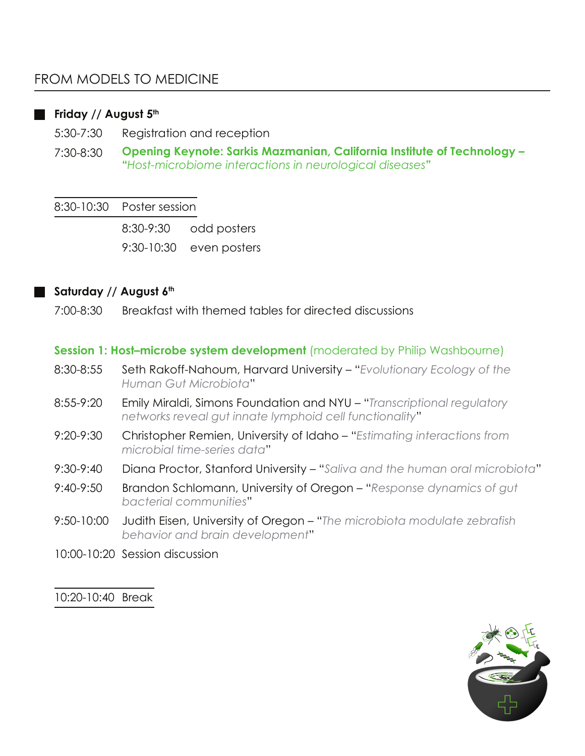# **Friday // August 5th**

5:30-7:30 Registration and reception

7:30-8:30 **Opening Keynote: Sarkis Mazmanian, California Institute of Technology – "***Host-microbiome interactions in neurological diseases***"**

#### 8:30-10:30 Poster session

8:30-9:30 odd posters

9:30-10:30 even posters

# **Saturday // August 6th**

7:00-8:30 Breakfast with themed tables for directed discussions

# **Session 1: Host-microbe system development** (moderated by Philip Washbourne)

- 8:30-8:55 Seth Rakoff-Nahoum, Harvard University – "*Evolutionary Ecology of the Human Gut Microbiota*"
- 8:55-9:20 Emily Miraldi, Simons Foundation and NYU – "*Transcriptional regulatory networks reveal gut innate lymphoid cell functionality*"
- 9:20-9:30 Christopher Remien, University of Idaho – "*Estimating interactions from microbial time-series data*"
- 9:30-9:40 Diana Proctor, Stanford University – "*Saliva and the human oral microbiota*"
- 9:40-9:50 Brandon Schlomann, University of Oregon "*Response dynamics of gut bacterial communities*"
- 9:50-10:00 Judith Eisen, University of Oregon "*The microbiota modulate zebrafish behavior and brain development*"
- 10:00-10:20 Session discussion

# 10:20-10:40 Break

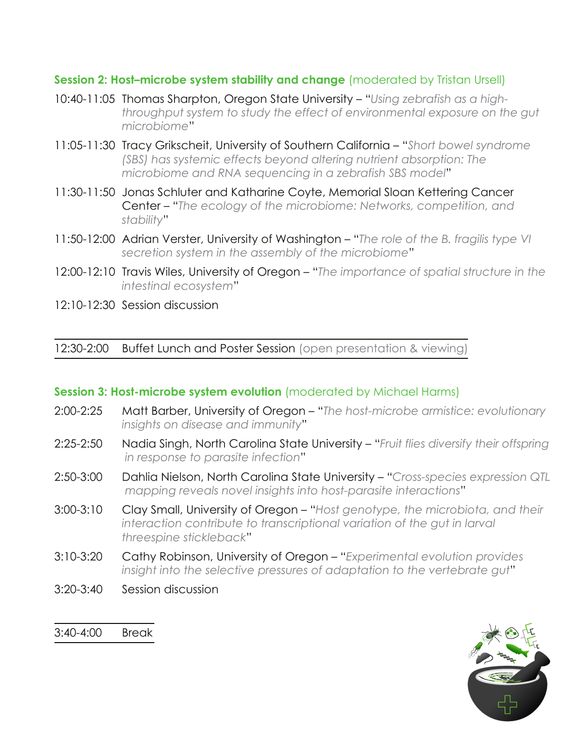# **Session 2: Host-microbe system stability and change** (moderated by Tristan Ursell)

- 10:40-11:05 Thomas Sharpton, Oregon State University "*Using zebrafish as a highthroughput system to study the effect of environmental exposure on the gut microbiome*"
- 11:05-11:30 Tracy Grikscheit, University of Southern California "*Short bowel syndrome (SBS) has systemic effects beyond altering nutrient absorption: The microbiome and RNA sequencing in a zebrafish SBS model*"
- 11:30-11:50 Jonas Schluter and Katharine Coyte, Memorial Sloan Kettering Cancer Center – "*The ecology of the microbiome: Networks, competition, and stability*"
- 11:50-12:00 Adrian Verster, University of Washington "*The role of the B. fragilis type VI secretion system in the assembly of the microbiome*"
- 12:00-12:10 Travis Wiles, University of Oregon "*The importance of spatial structure in the intestinal ecosystem*"
- 12:10-12:30 Session discussion

12:30-2:00 Buffet Lunch and Poster Session (open presentation & viewing)

# **Session 3: Host-microbe system evolution** (moderated by Michael Harms)

- 2:00-2:25 Matt Barber, University of Oregon "*The host-microbe armistice: evolutionary insights on disease and immunity*"
- 2:25-2:50 Nadia Singh, North Carolina State University "*Fruit flies diversify their offspring in response to parasite infection*"
- 2:50-3:00 Dahlia Nielson, North Carolina State University "*Cross-species expression QTL mapping reveals novel insights into host-parasite interactions*"
- 3:00-3:10 Clay Small, University of Oregon "*Host genotype, the microbiota, and their interaction contribute to transcriptional variation of the gut in larval threespine stickleback*"
- 3:10-3:20 Cathy Robinson, University of Oregon "*Experimental evolution provides insight into the selective pressures of adaptation to the vertebrate gut*"
- 3:20-3:40 Session discussion

3:40-4:00 Break

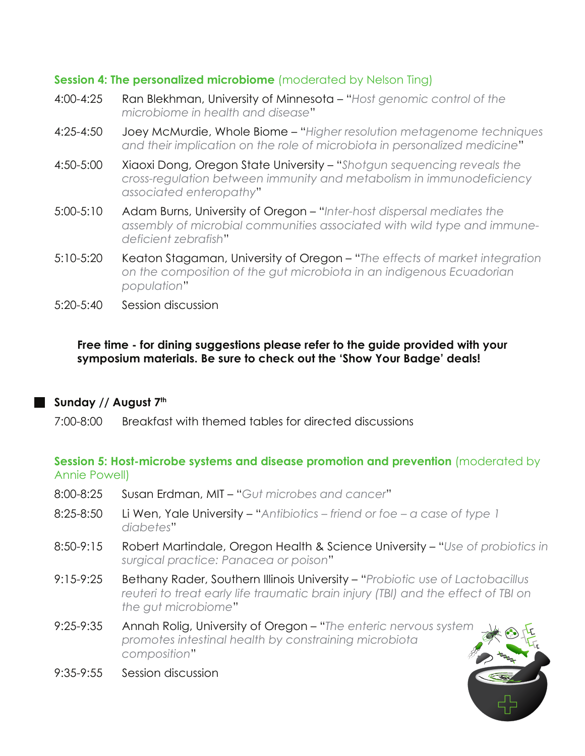# **Session 4: The personalized microbiome** (moderated by Nelson Ting)

- 4:00-4:25 Ran Blekhman, University of Minnesota "*Host genomic control of the microbiome in health and disease*"
- 4:25-4:50 Joey McMurdie, Whole Biome "*Higher resolution metagenome techniques and their implication on the role of microbiota in personalized medicine*"
- 4:50-5:00 Xiaoxi Dong, Oregon State University "*Shotgun sequencing reveals the cross-regulation between immunity and metabolism in immunodeficiency associated enteropathy*"
- 5:00-5:10 Adam Burns, University of Oregon "*Inter-host dispersal mediates the assembly of microbial communities associated with wild type and immunedeficient zebrafish*"
- 5:10-5:20 Keaton Stagaman, University of Oregon "*The effects of market integration on the composition of the gut microbiota in an indigenous Ecuadorian population*"
- 5:20-5:40 Session discussion

# **Free time - for dining suggestions please refer to the guide provided with your symposium materials. Be sure to check out the 'Show Your Badge' deals!**

# **Sunday // August 7th**

7:00-8:00 Breakfast with themed tables for directed discussions

# **Session 5: Host-microbe systems and disease promotion and prevention** (moderated by Annie Powell)

- 8:00-8:25 Susan Erdman, MIT "*Gut microbes and cancer*"
- 8:25-8:50 Li Wen, Yale University "*Antibiotics friend or foe a case of type 1 diabetes*"
- 8:50-9:15 Robert Martindale, Oregon Health & Science University "*Use of probiotics in surgical practice: Panacea or poison*"
- 9:15-9:25 Bethany Rader, Southern Illinois University "*Probiotic use of Lactobacillus reuteri to treat early life traumatic brain injury (TBI) and the effect of TBI on the gut microbiome*"
- 9:25-9:35 Annah Rolig, University of Oregon "*The enteric nervous system promotes intestinal health by constraining microbiota composition*"
- 9:35-9:55 Session discussion